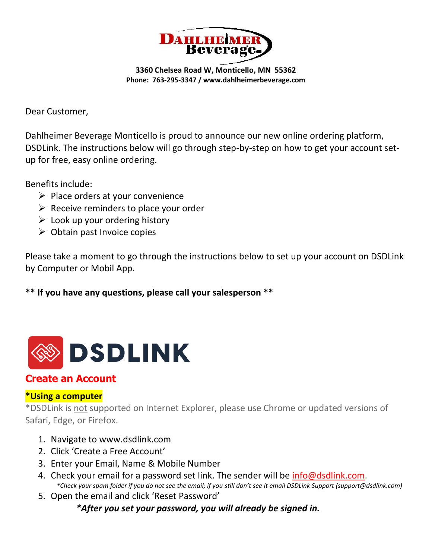

**3360 Chelsea Road W, Monticello, MN 55362 Phone: 763-295-3347 / www.dahlheimerbeverage.com**

Dear Customer,

Dahlheimer Beverage Monticello is proud to announce our new online ordering platform, DSDLink. The instructions below will go through step-by-step on how to get your account setup for free, easy online ordering.

Benefits include:

- $\triangleright$  Place orders at your convenience
- $\triangleright$  Receive reminders to place your order
- $\triangleright$  Look up your ordering history
- $\triangleright$  Obtain past Invoice copies

Please take a moment to go through the instructions below to set up your account on DSDLink by Computer or Mobil App.

**\*\* If you have any questions, please call your salesperson \*\***



# **Create an Account**

# **\*Using a computer**

\*DSDLink is not supported on Internet Explorer, please use Chrome or updated versions of Safari, Edge, or Firefox.

- 1. Navigate to www.dsdlink.com
- 2. Click 'Create a Free Account'
- 3. Enter your Email, Name & Mobile Number
- 4. Check your email for a password set link. The sender will be [info@dsdlink.com.](mailto:info@dsdlink.com)  *\*Check your spam folder if you do not see the email; if you still don't see it email DSDLink Support (support@dsdlink.com)*
- 5. Open the email and click 'Reset Password'

*\*After you set your password, you will already be signed in.*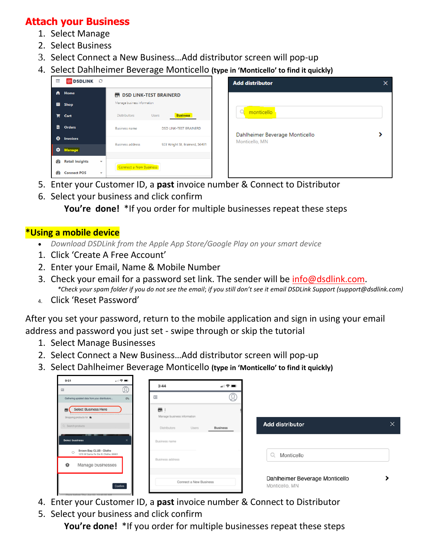# **Attach your Business**

- 1. Select Manage
- 2. Select Business
- 3. Select Connect a New Business…Add distributor screen will pop-up
- 4. Select Dahlheimer Beverage Monticello **(type in 'Monticello' to find it quickly)**

| 른         | <b>SPENINK</b> 3       |                          |                                  |                                 |  |
|-----------|------------------------|--------------------------|----------------------------------|---------------------------------|--|
| A.        | Home                   |                          | <b>HE DSD LINK-TEST BRAINERD</b> |                                 |  |
|           | $\Box$ Shop            |                          | Manage business information      |                                 |  |
|           | $\overline{R}$ Cart    |                          | <b>Distributors</b>              | <b>Business</b><br><b>Users</b> |  |
| ë         | <b>Orders</b>          |                          | <b>Business name</b>             | <b>DSD LINK-TEST BRAINERD</b>   |  |
| ◉         | <b>Invoices</b>        |                          |                                  |                                 |  |
|           | <b>C</b> Manage        |                          | <b>Business address</b>          | 923 Wright St, Brainerd, 56401  |  |
| GB.       | <b>Retail Insights</b> | $\overline{\phantom{a}}$ |                                  |                                 |  |
| <b>PD</b> | <b>Connect POS</b>     | $\overline{\phantom{0}}$ | <b>Connect a New Business</b>    |                                 |  |

- 5. Enter your Customer ID, a **past** invoice number & Connect to Distributor
- 6. Select your business and click confirm

 **You're done!** \*If you order for multiple businesses repeat these steps

#### **\*Using a mobile device**

- *Download DSDLink from the Apple App Store/Google Play on your smart device*
- 1. Click 'Create A Free Account'
- 2. Enter your Email, Name & Mobile Number
- 3. Check your email for a password set link. The sender will be [info@dsdlink.com.](mailto:info@dsdlink.com) *\*Check your spam folder if you do not see the email*; *if you still don't see it email DSDLink Support (support@dsdlink.com)*
- 4. Click 'Reset Password'

After you set your password, return to the mobile application and sign in using your email address and password you just set - swipe through or skip the tutorial

- 1. Select Manage Businesses
- 2. Select Connect a New Business…Add distributor screen will pop-up
- 3. Select Dahlheimer Beverage Monticello **(type in 'Monticello' to find it quickly)**

| $\Box$ $\mathcal{P}$ $\blacksquare$<br>9:51                                |                              |                 |                                |   |
|----------------------------------------------------------------------------|------------------------------|-----------------|--------------------------------|---|
| ⚾<br>三                                                                     | 3:44                         | 페 오 ■○          |                                |   |
| Gathering updated data from your distributors<br>0%                        | 三                            |                 |                                |   |
| Select Business Here<br>高                                                  | ÷                            |                 |                                |   |
| Shopping products for                                                      | Manage business information  |                 | <b>Add distributor</b>         | X |
| 3. Search products                                                         | <b>Distributors</b><br>Users | <b>Business</b> |                                |   |
| <b>Select business</b><br>×                                                | Business name                |                 |                                |   |
| Brown Bag CLUB - Olathe<br>$\circ$<br>1078 W Santa Fe Ste B, Olathe, 66061 |                              |                 | $\circ$<br>Monticello          |   |
| Manage businesses<br>챱                                                     | Business address             |                 |                                |   |
|                                                                            |                              |                 | Dahlheimer Beverage Monticello |   |
| Confirm                                                                    | Connect a New Business       |                 | Monticello, MN                 |   |
| Plane hofma This Tim 02 10-45-00-81                                        |                              |                 |                                |   |

- 4. Enter your Customer ID, a **past** invoice number & Connect to Distributor
- 5. Select your business and click confirm

 **You're done!** \*If you order for multiple businesses repeat these steps